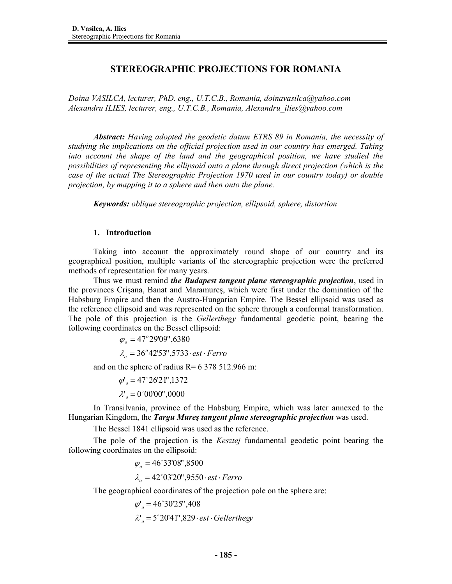# **STEREOGRAPHIC PROJECTIONS FOR ROMANIA**

*Doina VASILCA, lecturer, PhD. eng., U.T.C.B., Romania, doinavasilca@yahoo.com Alexandru ILIES, lecturer, eng., U.T.C.B., Romania, Alexandru\_ilies@yahoo.com* 

*Abstract: Having adopted the geodetic datum ETRS 89 in Romania, the necessity of studying the implications on the official projection used in our country has emerged. Taking*  into account the shape of the land and the geographical position, we have studied the *possibilities of representing the ellipsoid onto a plane through direct projection (which is the case of the actual The Stereographic Projection 1970 used in our country today) or double projection, by mapping it to a sphere and then onto the plane.* 

 *Keywords: oblique stereographic projection, ellipsoid, sphere, distortion* 

### **1. Introduction**

Taking into account the approximately round shape of our country and its geographical position, multiple variants of the stereographic projection were the preferred methods of representation for many years.

Thus we must remind *the Budapest tangent plane stereographic projection*, used in the provinces Crişana, Banat and Maramureş, which were first under the domination of the Habsburg Empire and then the Austro-Hungarian Empire. The Bessel ellipsoid was used as the reference ellipsoid and was represented on the sphere through a conformal transformation. The pole of this projection is the *Gellerthegy* fundamental geodetic point, bearing the following coordinates on the Bessel ellipsoid:

> $\lambda_o = 36^\circ 42^\circ 53^\circ$ ,5733 $\cdot$ est $\cdot$ Ferro *o*  $\varphi$ <sub>o</sub> = 47<sup>°</sup> 29'09",6380

and on the sphere of radius  $R = 6378512.966$  m:

 $\varphi'_o = 47^\circ 26' 21'', 1372$ 

 $\lambda_{o} = 0^{\circ}00'00",0000$ 

In Transilvania, province of the Habsburg Empire, which was later annexed to the Hungarian Kingdom, the *Targu Mureş tangent plane stereographic projection* was used.

The Bessel 1841 ellipsoid was used as the reference.

The pole of the projection is the *Kesztej* fundamental geodetic point bearing the following coordinates on the ellipsoid:

> $\lambda_o = 42^{\circ}03^{\circ}20^{\circ},9550 \cdot \text{est} \cdot \text{Ferro}$  $\varphi$ <sub>o</sub> = 46°33'08",8500

The geographical coordinates of the projection pole on the sphere are:

 $\lambda_{o} = 5^{\circ}20'41''$ ,  $829 \cdot \text{est} \cdot \text{Gellerthegy}$  $\varphi'_{o} = 46^{\circ}30'25''$ ,408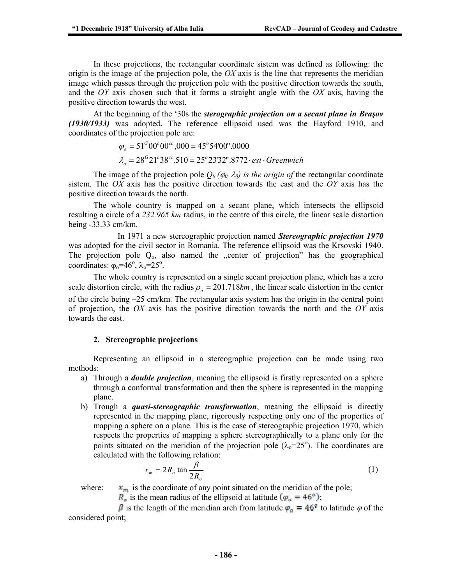In these projections, the rectangular coordinate sistem was defined as following: the origin is the image of the projection pole, the *OX* axis is the line that represents the meridian image which passes through the projection pole with the positive direction towards the south, and the *OY* axis chosen such that it forms a straight angle with the *OX* axis, having the positive direction towards the west.

At the beginning of the '30s the *sterographic projection on a secant plane in Braşov (1930/1933)* was adopted**.** The reference ellipsoid used was the Hayford 1910, and coordinates of the projection pole are:

$$
\varphi_o = 51^{\circ}00^{\circ}00^{\circ\circ},000 = 45^{\circ}54^{\circ}00".0000
$$
  

$$
\lambda_o = 28^{\circ}21^{\circ}38^{\circ\circ}.510 = 25^{\circ}23^{\circ}32".8772 \cdot \text{est} \cdot \text{Greenwich}
$$

The image of the projection pole  $Q_0$  ( $\varphi_0$ ,  $\lambda_0$ ) is the origin of the rectangular coordinate sistem. The *OX* axis has the positive direction towards the east and the *OY* axis has the positive direction towards the north.

The whole country is mapped on a secant plane, which intersects the ellipsoid resulting a circle of a *232.965 km* radius, in the centre of this circle, the linear scale distortion being -33.33 cm/km.

 In 1971 a new stereographic projection named *Stereographic projection 1970* was adopted for the civil sector in Romania. The reference ellipsoid was the Krsovski 1940. The projection pole  $Q_0$ , also named the "center of projection" has the geographical coordinates:  $\varphi_0 = 46^\circ$ ,  $\lambda_0 = 25^\circ$ .

The whole country is represented on a single secant projection plane, which has a zero scale distortion circle, with the radius  $\rho_0 = 201.718km$ , the linear scale distortion in the center of the circle being –25 cm/km. The rectangular axis system has the origin in the central point of projection, the *OX* axis has the positive direction towards the north and the *OY* axis towards the east.

#### **2. Stereographic projections**

Representing an ellipsoid in a stereographic projection can be made using two methods:

- a) Through a *double projection*, meaning the ellipsoid is firstly represented on a sphere through a conformal transformation and then the sphere is represented in the mapping plane.
- b) Trough a *quasi-stereographic transformation*, meaning the ellipsoid is directly represented in the mapping plane, rigorously respecting only one of the properties of mapping a sphere on a plane. This is the case of stereographic projection 1970, which respects the properties of mapping a sphere stereographically to a plane only for the points situated on the meridian of the projection pole  $(\lambda_0=25^\circ)$ . The coordinates are calculated with the following relation:

$$
x_m = 2R_o \tan \frac{\beta}{2R_o}
$$
 (1)

where:  $\mathbf{x}_m$  is the coordinate of any point situated on the meridian of the pole;

 $R_o$  is the mean radius of the ellipsoid at latitude  $(\varphi_o = 46^\circ)$ ;

 $\beta$  is the length of the meridian arch from latitude  $\varphi_o = 46^\circ$  to latitude  $\varphi$  of the considered point;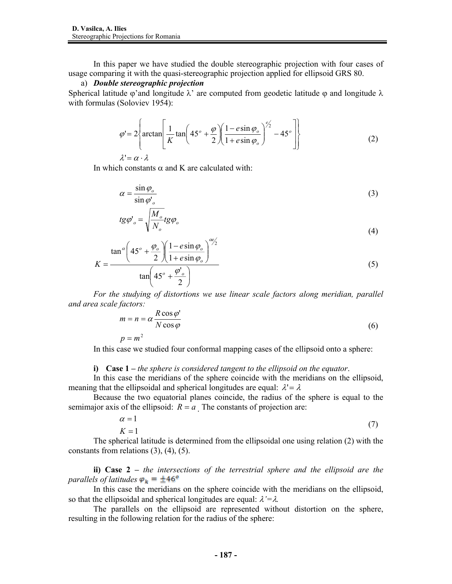In this paper we have studied the double stereographic projection with four cases of usage comparing it with the quasi-stereographic projection applied for ellipsoid GRS 80.

#### a) *Double stereographic projection*

Spherical latitude  $\varphi$ 'and longitude  $\lambda$ ' are computed from geodetic latitude  $\varphi$  and longitude  $\lambda$ with formulas (Soloviev 1954):

$$
\varphi' = 2 \left\{ \arctan \left[ \frac{1}{K} \tan \left( 45^\circ + \frac{\varphi}{2} \right) \left( \frac{1 - e \sin \varphi_o}{1 + e \sin \varphi_o} \right)^{\frac{\varphi_o}{2}} - 45^\circ \right] \right\}
$$
\n
$$
\lambda' = \alpha \cdot \lambda
$$
\n(2)

In which constants  $\alpha$  and K are calculated with:

$$
\alpha = \frac{\sin \varphi_o}{\sin \varphi_o} \tag{3}
$$

$$
tg\varphi'_{o} = \sqrt{\frac{M_o}{N_o}}tg\varphi_{o}
$$
\n(4)

$$
K = \frac{\tan^{\alpha} \left( 45^{\circ} + \frac{\varphi_o}{2} \right) \left( \frac{1 - e \sin \varphi_o}{1 + e \sin \varphi_o} \right)^{\alpha \beta/2}}{\tan \left( 45^{\circ} + \frac{\varphi_o}{2} \right)}
$$
(5)

*For the studying of distortions we use linear scale factors along meridian, parallel and area scale factors:* 

$$
m = n = \alpha \frac{R \cos \varphi'}{N \cos \varphi}
$$
  
(6)  

$$
p = m^2
$$

In this case we studied four conformal mapping cases of the ellipsoid onto a sphere:

#### **i) Case 1 –** *the sphere is considered tangent to the ellipsoid on the equator*.

In this case the meridians of the sphere coincide with the meridians on the ellipsoid, meaning that the ellipsoidal and spherical longitudes are equal:  $\lambda' = \lambda$ 

Because the two equatorial planes coincide, the radius of the sphere is equal to the semimajor axis of the ellipsoid:  $R = a$ . The constants of projection are:

$$
\alpha = 1 \tag{7}
$$

$$
K = 1
$$

The spherical latitude is determined from the ellipsoidal one using relation (2) with the constants from relations (3), (4), (5).

**ii) Case 2 –** *the intersections of the terrestrial sphere and the ellipsoid are the parallels of latitudes*  $\varphi_k = \pm 46^\circ$ 

In this case the meridians on the sphere coincide with the meridians on the ellipsoid, so that the ellipsoidal and spherical longitudes are equal: λ*'=*λ*.* 

The parallels on the ellipsoid are represented without distortion on the sphere, resulting in the following relation for the radius of the sphere: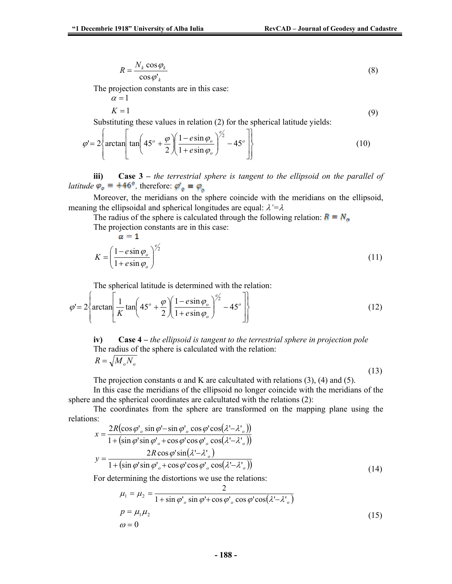$$
R = \frac{N_k \cos \varphi_k}{\cos \varphi'_{k}}
$$
 (8)

The projection constants are in this case:

$$
\alpha = 1
$$
  
K = 1 (9)

Substituting these values in relation (2) for the spherical latitude yields:

$$
\varphi' = 2 \left\{ \arctan \left[ \tan \left( 45^\circ + \frac{\varphi}{2} \right) \left( \frac{1 - e \sin \varphi_o}{1 + e \sin \varphi_o} \right)^{\frac{\varphi_o}{2}} - 45^\circ \right] \right\}
$$
(10)

**iii) Case 3 –** *the terrestrial sphere is tangent to the ellipsoid on the parallel of latitude*  $\varphi_o = +46^\circ$ , therefore:  $\varphi_o' = \varphi_o$ 

Moreover, the meridians on the sphere coincide with the meridians on the ellipsoid, meaning the ellipsoidal and spherical longitudes are equal: λ*'=*λ

The radius of the sphere is calculated through the following relation:  $R = N_a$ The projection constants are in this case:

$$
\alpha = 1
$$
  

$$
K = \left(\frac{1 - e \sin \varphi_o}{1 + e \sin \varphi_o}\right)^{\frac{\varphi_o}{2}}
$$
 (11)

The spherical latitude is determined with the relation:

$$
\varphi' = 2 \left\{ \arctan \left[ \frac{1}{K} \tan \left( 45^\circ + \frac{\varphi}{2} \right) \left( \frac{1 - e \sin \varphi_\circ}{1 + e \sin \varphi_\circ} \right)^{\frac{\varphi}{2}} - 45^\circ \right] \right\}
$$
(12)

**iv) Case 4 –** *the ellipsoid is tangent to the terrestrial sphere in projection pole* The radius of the sphere is calculated with the relation:  $R = \sqrt{M_o N_o}$ 

(13)

The projection constants  $\alpha$  and K are calcultated with relations (3), (4) and (5).

In this case the meridians of the ellipsoid no longer coincide with the meridians of the sphere and the spherical coordinates are calcultated with the relations (2):

The coordinates from the sphere are transformed on the mapping plane using the relations:

$$
x = \frac{2R(\cos\varphi')\sin\varphi' - \sin\varphi'}{1 + (\sin\varphi'\sin\varphi')\sin\varphi' + \cos\varphi'\cos\varphi'\cos(\lambda' - \lambda')})}
$$
  

$$
y = \frac{2R\cos\varphi'\sin(\lambda' - \lambda')}{1 + (\sin\varphi'\sin\varphi')\cos\varphi'\cos\varphi'\cos(\lambda' - \lambda')})}
$$
(14)

For determining the distortions we use the relations:

$$
\mu_1 = \mu_2 = \frac{2}{1 + \sin \varphi' \sin \varphi' + \cos \varphi' \cos \varphi' \cos(\lambda' - \lambda' \circ)}
$$
  
\n
$$
p = \mu_1 \mu_2
$$
  
\n
$$
\omega = 0
$$
\n(15)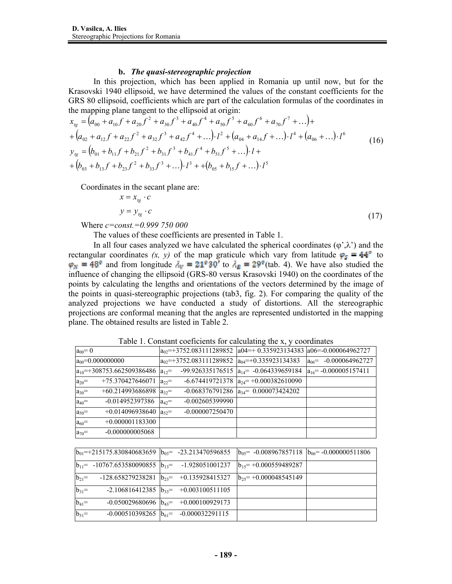## **b.** *The quasi-stereographic projection*

In this projection, which has been applied in Romania up until now, but for the Krasovski 1940 ellipsoid, we have determined the values of the constant coefficients for the GRS 80 ellipsoid, coefficients which are part of the calculation formulas of the coordinates in the mapping plane tangent to the ellipsoid at origin:

$$
x_{tg} = (a_{00} + a_{10}f + a_{20}f^2 + a_{30}f^3 + a_{40}f^4 + a_{50}f^5 + a_{60}f^6 + a_{70}f^7 + ...)+
$$
  
+ 
$$
(a_{02} + a_{12}f + a_{22}f^2 + a_{32}f^3 + a_{42}f^4 + ...)\cdot l^2 + (a_{04} + a_{14}f + ...)\cdot l^4 + (a_{06} + ...)\cdot l^6
$$
  

$$
y_{tg} = (b_{01} + b_{11}f + b_{21}f^2 + b_{31}f^3 + b_{41}f^4 + b_{51}f^5 + ...)\cdot l +
$$
  
+ 
$$
(b_{03} + b_{13}f + b_{23}f^2 + b_{33}f^3 + ...)\cdot l^3 + (b_{05} + b_{15}f + ...)\cdot l^5
$$

Coordinates in the secant plane are:

$$
x = x_{tg} \cdot c
$$
  
\n
$$
y = y_{tg} \cdot c
$$
 (17)

Where *c=const.=0.999 750 000*

The values of these coefficients are presented in Table 1.

In all four cases analyzed we have calculated the spherical coordinates  $(\varphi, \lambda)$  and the rectangular coordinates  $(x, y)$  of the map graticule which vary from latitude  $\varphi_s = 44^\circ$  to and from longitude  $\lambda_V = 21^{\circ}30'$  to  $\lambda_E = 29^{\circ}$  (tab. 4). We have also studied the influence of changing the ellipsoid (GRS-80 versus Krasovski 1940) on the coordinates of the points by calculating the lengths and orientations of the vectors determined by the image of the points in quasi-stereographic projections (tab3, fig. 2). For comparing the quality of the analyzed projections we have conducted a study of distortions. All the stereographic projections are conformal meaning that the angles are represented undistorted in the mapping plane. The obtained results are listed in Table 2.

| Table 1. Constant Cochelents for calculating the A, y coordinates                                   |                                                                      |                                               |                            |  |  |  |
|-----------------------------------------------------------------------------------------------------|----------------------------------------------------------------------|-----------------------------------------------|----------------------------|--|--|--|
| $a_{00} = 0$                                                                                        | $ a_{02}=+3752.083111289852 a04=+0.335923134383 a06=-0.000064962727$ |                                               |                            |  |  |  |
| $a_{00} = 0.000000000$                                                                              | $a_{02}$ =+3752.083111289852 $a_{04}$ =+0.335923134383               |                                               | $a_{06}$ = -0.000064962727 |  |  |  |
| $a_{10}$ =+308753.662509386486 $ a_{12}$ =                                                          |                                                                      | -99.926335176515 $ a_{14} = -0.064339659184$  | $a_{16}$ = -0.000005157411 |  |  |  |
| +75.370427646071<br>$a_{20}$ =                                                                      | $a_{22}$ =                                                           | $-6.674419721378$ $ a_{24} = +0.000382610090$ |                            |  |  |  |
| +60.214993686898 $a_{32}$ =<br>$a_{30}$ =                                                           |                                                                      | $-0.068376791286$ $a_{34} = 0.000073424202$   |                            |  |  |  |
| $-0.014952397386$<br>$a_{40}$ =                                                                     | $-0.002605399990$<br>$a_{42}$ =                                      |                                               |                            |  |  |  |
| $+0.014096938640$<br>$a_{50}$ =                                                                     | $-0.000007250470$<br>$a_{52}$ =                                      |                                               |                            |  |  |  |
| $+0.000001183300$<br>$a_{60}$ =                                                                     |                                                                      |                                               |                            |  |  |  |
| $-0.000000005068$<br>$a_{70}$ =                                                                     |                                                                      |                                               |                            |  |  |  |
|                                                                                                     |                                                                      |                                               |                            |  |  |  |
| $\mu = 0.015175.020040602650$ $\mu = 22.212470506055$ $\mu = 0.000067057110$ $\mu = 0.000000511006$ |                                                                      |                                               |                            |  |  |  |

Table 1. Constant coeficients for calculating the x, y coordinates

|            |                                                           |                                               | $ b_{01}=+215175.830840683659  b_{03}= -23.213470596855  b_{05}= -0.008967857118  b_{06}= -0.000000511806$ |  |
|------------|-----------------------------------------------------------|-----------------------------------------------|------------------------------------------------------------------------------------------------------------|--|
|            | $ b_{11} $ -10767.653580090855 $ b_{13} $ -1.928051001237 |                                               | $b_{15}$ = +0.000559489287                                                                                 |  |
|            | $ b_{21} $ -128.658279238281 $ b_{23} $ +0.135928415327   |                                               | $b_{25}$ = +0.000048545149                                                                                 |  |
| $b_{31}$ = |                                                           | $-2.106816412385$ $b_{33} = +0.003100511105$  |                                                                                                            |  |
| $b_{41}$ = |                                                           | $-0.050029680696$ $b_{43} = +0.000100929173$  |                                                                                                            |  |
| $b_{51}$ = |                                                           | $-0.000510398265$ $ b_{61} = -0.000032291115$ |                                                                                                            |  |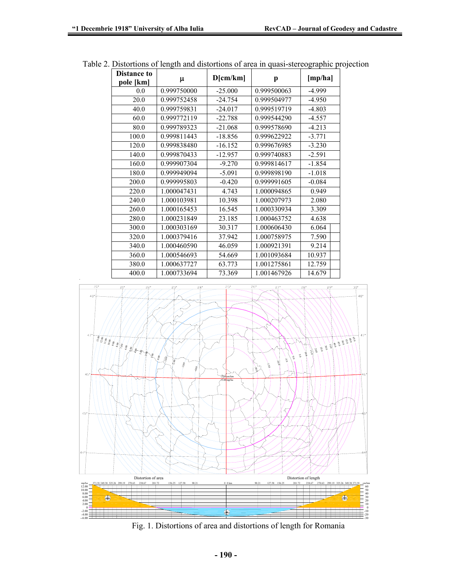| <b>Distance to</b> | D[cm/km]    |           | [mp/ha]     |          |
|--------------------|-------------|-----------|-------------|----------|
| pole [km]          | μ           |           | p           |          |
| 0.0                | 0.999750000 | $-25.000$ | 0.999500063 | $-4.999$ |
| 20.0               | 0.999752458 | $-24.754$ | 0.999504977 | $-4.950$ |
| 40.0               | 0.999759831 | $-24.017$ | 0.999519719 | $-4.803$ |
| 60.0               | 0.999772119 | $-22.788$ | 0.999544290 | $-4.557$ |
| 80.0               | 0.999789323 | $-21.068$ | 0.999578690 | $-4.213$ |
| 100.0              | 0.999811443 | $-18.856$ | 0.999622922 | $-3.771$ |
| 120.0              | 0.999838480 | $-16.152$ | 0.999676985 | $-3.230$ |
| 140.0              | 0.999870433 | $-12.957$ | 0.999740883 | $-2.591$ |
| 160.0              | 0.999907304 | $-9.270$  | 0.999814617 | $-1.854$ |
| 180.0              | 0.999949094 | $-5.091$  | 0.999898190 | $-1.018$ |
| 200.0              | 0.999995803 | $-0.420$  | 0.999991605 | $-0.084$ |
| 220.0              | 1.000047431 | 4.743     | 1.000094865 | 0.949    |
| 240.0              | 1.000103981 | 10.398    | 1.000207973 | 2.080    |
| 260.0              | 1.000165453 | 16.545    | 1.000330934 | 3.309    |
| 280.0              | 1.000231849 | 23.185    | 1.000463752 | 4.638    |
| 300.0              | 1.000303169 | 30.317    | 1.000606430 | 6.064    |
| 320.0              | 1.000379416 | 37.942    | 1.000758975 | 7.590    |
| 340.0              | 1.000460590 | 46.059    | 1.000921391 | 9.214    |
| 360.0              | 1.000546693 | 54.669    | 1.001093684 | 10.937   |
| 380.0              | 1.000637727 | 63.773    | 1.001275861 | 12.759   |
| 400.0              | 1.000733694 | 73.369    | 1.001467926 | 14.679   |

Table 2. Distortions of length and distortions of area in quasi-stereographic projection



Fig. 1. Distortions of area and distortions of length for Romania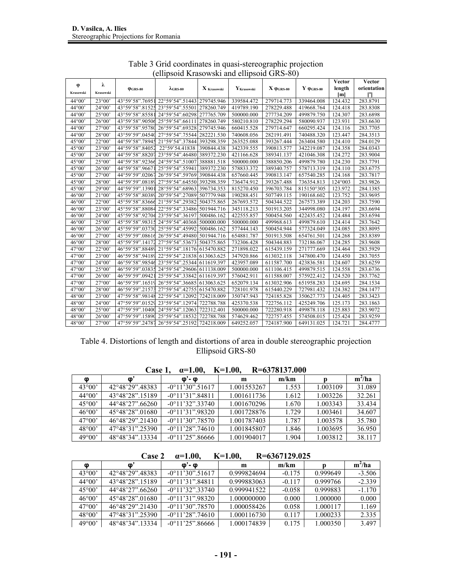|                        |                 |                               | $\alpha$ and $\alpha$ is a contributed to the contribution of $\beta$ |                                 |                 |                      |                                    | Vector           | Vector      |
|------------------------|-----------------|-------------------------------|-----------------------------------------------------------------------|---------------------------------|-----------------|----------------------|------------------------------------|------------------|-------------|
| φ                      | λ               | $\varphi$ <sub>GRS-80</sub>   | $\lambda$ <sub>GRS-80</sub>                                           | $\mathbf{X}_{\text{krasowski}}$ | $Y_{Krasowski}$ | $X \varphi_{GRS-80}$ | $\mathbf Y$ $\phi_{GRS\text{-}80}$ | length           | orientation |
| Krasowski              | Krasowski       |                               |                                                                       |                                 |                 |                      |                                    | [m]              |             |
| $44^{\circ}00^{\circ}$ | 23°00'          | 43°59'58".76951               | 22°59'54".51443 279745.946                                            |                                 | 339584.472      | 279714.773           | 339464.008                         | 124.432          | 283.8791    |
| $44^{\circ}00'$        | $24^{\circ}00'$ | 43°59'58".81525               | 23°59'54".55501 278260.749                                            |                                 | 419789.190      | 278229.488           | 419668.764                         | 124.418          | 283.8308    |
| $44^{\circ}00'$        | $25^{\circ}00'$ | 43°59'58".85581               | 24°59'54".60298 277765.709                                            |                                 | 500000.000      | 277734.209           | 499879.750                         | 124.307          | 283.6898    |
| $44^{\circ}00'$        | $26^{\circ}00'$ | 43°59'58".90506               | 25°59'54".66111 278260.749                                            |                                 | 580210.810      | 278229.294           | 580090.937                         | 123.931          | 283.6630    |
| 44°00'                 | $27^{\circ}00'$ | 43°59'58".95780               | 26°59'54".69328 279745.946                                            |                                 | 660415.528      | 279714.647           | 660295.424                         | 124.116          | 283.7705    |
| $44^{\circ}00'$        | $28^{\circ}00'$ | 43°59'59".04540               | 27°59'54".75544 282221.530                                            |                                 | 740608.056      | 282191.491           | 740488.320                         | 123.447          | 284.3513    |
| 45°00'                 | $22^{\circ}00'$ | 44°59'58".78945               | 21°59'54".37844 393298.359                                            |                                 | 263525.088      | 393267.444           | 263404.580                         | 124.410          | 284.0129    |
| 45°00'                 | 23°00'          | 44°59'58".84052               | 22°59'54.41838 390844.438                                             |                                 | 342339.555      | 390813.577           | 342219.087                         | 124.358          | 284.0343    |
| 45°00'                 | $24^{\circ}00'$ | 44°59'58".88207               | 23°59'54".46480 389372.230                                            |                                 | 421166.628      | 389341.137           | 421046.308                         | 124.272          | 283.9004    |
| 45°00'                 | 25°00'          | 44°59'58".92366               | 24°59'54".51007 388881.518                                            |                                 | 500000.000      | 388850.206           | 499879.780                         | 124.230          | 283.7791    |
| 45°00'                 | $26^{\circ}00'$ | 44°59'58".9667                | 25°59'54".55941 389372.230                                            |                                 | 578833.372      | 389340.757           | 578713.319                         | 124.110          | 283.6775    |
| 45°00'                 | 27°00'          | 44°59'59".02067               | 26°59'54".59769 390844.438                                            |                                 | 657660.445      | 390813.147           | 657540.285                         | 124.168          | 283.7817    |
| 45°00'                 | 28°00'          | 44°59'59".08189               | 27°59'54".64550 393298.359                                            |                                 | 736474.912      | 393267.488           | 736354.813                         | $124^{\circ}003$ | 283.9826    |
| 45°00'                 | 29°00'          | 44°59'59".13901               | 28°59'54".68963 396734.353                                            |                                 | 815270.450      | 396703.784           | 815150°305                         | 123.972          | 284.1385    |
| 46°00'                 | 21°00'          | 45°59'58".80389               | 20°59'54".27089 507779.948                                            |                                 | 190288.451      | 507749.115           | 190168.602                         | 123.752          | 283.9695    |
| 46°00'                 | $22^{\circ}00'$ |                               | 45°59'58".83666 21°59'54".29382 504375.865                            |                                 | 267693.572      | 504344.522           | 267573.389                         | 124.203          | 283.7590    |
| 46°00'                 | 23°00'          | 45°59'58".88084               | 22°59'54".33486 501944.716                                            |                                 | 345118.213      | 501913.205           | 344998.080                         | 124.197          | 283.6694    |
| 46°00'                 | $24^{\circ}00'$ | 45°59'58".92704               | 23°59'54".36197                                                       | 500486.162                      | 422555.857      | 500454.560           | 422435.452                         | 124.484          | 283.6594    |
| 46°00'                 | $25^{\circ}00'$ | 45°59'58".98315               | 24°59'54".40368 500000.000                                            |                                 | 500000.000      | 499968.613           | 499879.610                         | 124.414          | 283.7642    |
| 46°00'                 | 26°00'          | 45°59'59".03730               | 25°59'54".45992                                                       | 500486.162                      | 577444.143      | 500454.944           | 577324.049                         | 124.085          | 283.8095    |
| 46°00'                 | 27°00'          | 45°59'59".08616               | 26°59'54".49480 501944.716                                            |                                 | 654881.787      | 501913.508           | 654761.501                         | 124.268          | 283.8389    |
| 46°00'                 | $28^{\circ}00'$ | $\overline{45}$ °59'59".14172 | 27°59'54".53673 504375.865                                            |                                 | 732306.428      | 504344.883           | 732186.067                         | 124.285          | 283.9608    |
| 47°00'                 | $22^{\circ}00'$ | 46°59'58".88489               | 21°59'54".18176 615470.882                                            |                                 | 271898.022      | 615439.159           | 271777.669                         | 124.464          | 283.5929    |
| 47°00'                 | 23°00'          | 46°59'58".94189               | 22°59'54".21838 613063.625                                            |                                 | 347920.866      | 613032.118           | 347800.470                         | 124.450          | 283.7055    |
| 47°00'                 | $24^{\circ}00'$ | 46°59'58".98546               | 23°59'54".25344 611619.397                                            |                                 | 423957.089      | 611587.700           | 423836.581                         | 124.607          | 283.6259    |
| $47^{\circ}00'$        | $25^{\circ}00'$ | 46°59'59".03835               | 24°59'54".29606 611138.009                                            |                                 | 500000.000      | 611106.415           | 499879.515                         | 124.558          | 283.6736    |
| 47°00'                 | 26°00'          | 46°59'59".09421               | 25°59'54".33842 611619.397                                            |                                 | 576042.911      | 611588.007           | 575922.412                         | 124.520          | 283.7762    |
| $47^{\circ}00'$        | $27^{\circ}00'$ | 46°59'59".16519               | 26°59'54".36685 613063.625                                            |                                 | 652079.134      | 613032.906           | 651958.283                         | 124.695          | 284.1534    |
| $47^{\circ}00'$        | $28^{\circ}00'$ | 46°59'59".21573               | 27°59'54".42755 615470.882                                            |                                 | 728101.978      | 615440.229           | 727981.432                         | 124.382          | 284.1477    |
| 48°00'                 | 23°00'          | 47°59'58".98148               | 22°59'54".12092 724218.009                                            |                                 | 350747.943      | 724185.828           | 350627.773                         | 124.405          | 283.3423    |
| 48°00'                 | $24^{\circ}00'$ | 47°59'59".01529               | 23°59'54".12974 722788.788                                            |                                 | 425370.538      | 722756.112           | 425249.706                         | 125.173          | 283.1863    |
| 48°00'                 | $25^{\circ}00'$ | 47°59'59".10400               | 24°59'54".12063 722312.401                                            |                                 | 500000.000      | 722280.918           | 499878.118                         | 125.883          | 283.9072    |
| 48°00'                 | 26°00'          | 47°59'59".15890               | 25°59'54".18532 722788.788                                            |                                 | 574629.462      | 722757.455           | 574508.015                         | 125.424          | 283.9259    |
| 48°00'                 | 27°00'          | 47°59'59".24787               | 26°59'54".25192 724218.009                                            |                                 | 649252.057      | 724187.900           | 649131.025                         | 124.721          | 284.4777    |

Table 3 Grid coordinates in quasi-stereographic projection (ellipsoid Krasowski and ellipsoid GRS-80)

Table 4. Distortions of length and distortions of area in double stereographic projection Ellipsoid GRS-80

**Case 1, α=1.00, K=1.00, R=6378137.000** 

| M               | ∞               | ወ'- ወ                       | m           | m/km  |          | $m^2/ha$ |
|-----------------|-----------------|-----------------------------|-------------|-------|----------|----------|
| $43^{\circ}00'$ | 42°48'29" 48383 | $-0^{\circ}11'30''.51617$   | 1.001553267 | 1.553 | 1.003109 | 31.089   |
| $44^{\circ}00'$ | 43°48'28".15189 | $-0^{\circ}11'31''84811$    | 1.001611736 | 1.612 | 1.003226 | 32.261   |
| $45^{\circ}00'$ | 44°48'27" 66260 | $-0^{\circ}11'32''33740$    | 1.001670296 | 1.670 | 1.003343 | 33.434   |
| $46^{\circ}00'$ | 45°48'28".01680 | $-0^{\circ}11'31''.98320$   | 1.001728876 | 1.729 | 1.003461 | 34.607   |
| $47^{\circ}00'$ | 46°48'29" 21430 | $-0^{\circ}11'30''$ . 78570 | 1.001787403 | 1.787 | 1.003578 | 35.780   |
| $48^{\circ}00'$ | 47°48'31".25390 | $-0^{\circ}11'28''$ .74610  | 1.001845807 | 1.846 | 1.003695 | 36.950   |
| 49°00'          | 48°48'34" 13334 | $-0^{\circ}11'25"36666$     | 1.001904017 | 1.904 | 1.003812 | 38.117   |

| $\alpha = 1.00,$ | <b>Case 2</b> | $K=1.00,$ | R=6367129.025 |
|------------------|---------------|-----------|---------------|
|------------------|---------------|-----------|---------------|

| Φ               | Φ               | ወ'- ወ                     | m           | m/km     |          | $m^2/ha$ |
|-----------------|-----------------|---------------------------|-------------|----------|----------|----------|
|                 |                 |                           |             |          |          |          |
| $43^{\circ}00'$ | 42°48'29".48383 | $-0^{\circ}11'30''51617$  | 0.999824694 | $-0.175$ | 0.999649 | $-3.506$ |
| $44^{\circ}00'$ | 43°48'28".15189 | $-0^{\circ}11'31''.84811$ | 0.999883063 | $-0.117$ | 0.999766 | $-2.339$ |
| $45^{\circ}00'$ | 44°48'27".66260 | $-0^{\circ}11'32''33740$  | 0.999941522 | $-0.058$ | 0.999883 | $-1.170$ |
| $46^{\circ}00'$ | 45°48'28" 01680 | $-0^{\circ}11'31''.98320$ | 1.000000000 | 0.000    | 1.000000 | 0.000    |
| $47^{\circ}00'$ | 46°48'29" 21430 | $-0^{\circ}11'30''.78570$ | 1.000058426 | 0.058    | 1.000117 | 1.169    |
| $48^{\circ}00'$ | 47°48'31".25390 | $-0°11'28"74610$          | 1.000116730 | 0.117    | 1.000233 | 2.335    |
| $49^{\circ}00'$ | 48°48'34".13334 | $-0^{\circ}11'25''.86666$ | 1.000174839 | 0.175    | 1.000350 | 3.497    |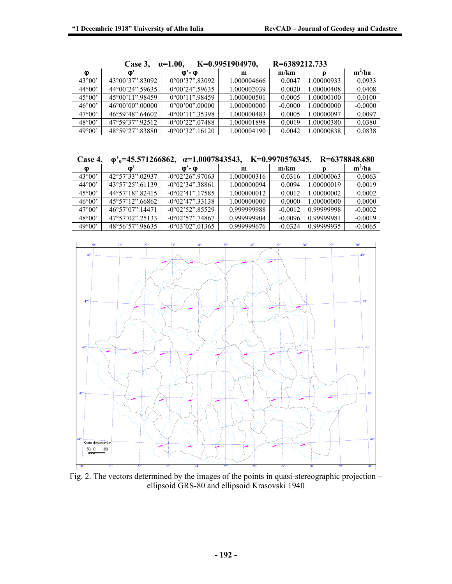|                 | Case 3,         | $\alpha = 1.00$          | K=0.9951904970, | R=6389212.733 |            |           |
|-----------------|-----------------|--------------------------|-----------------|---------------|------------|-----------|
| Φ               | <b>O</b>        | ወ'- ወ                    | m               | m/km          |            | $m^2/ha$  |
| $43^{\circ}00'$ | 43°00'37" 83092 | $0^{\circ}00'37"83092$   | 1.000004666     | 0.0047        | 1.00000933 | 0.0933    |
| $44^{\circ}00'$ | 44°00'24".59635 | $0^{\circ}00'24"39635$   | 1.000002039     | 0.0020        | 1.00000408 | 0.0408    |
| $45^{\circ}00'$ | 45°00'11".98459 | $0^{\circ}00'11''.98459$ | 1.000000501     | 0.0005        | 1.00000100 | 0.0100    |
| 46°00'          | 46°00'00" 00000 | $0^{\circ}00'00"$ 00000  | 1.000000000     | $-0.0000$     | 1.00000000 | $-0.0000$ |
| $47^{\circ}00'$ | 46°59'48" 64602 | $-0°00'11"35398$         | 1.000000483     | 0.0005        | 1.00000097 | 0.0097    |
| $48^{\circ}00'$ | 47°59'37".92512 | $-0^{\circ}00'22"07488$  | 1.000001898     | 0.0019        | 1.00000380 | 0.0380    |
| 49°00'          | 48°59'27".83880 | $-0^{\circ}00'32"$ 16120 | 1.000004190     | 0.0042        | 1.00000838 | 0.0838    |

| Case 3, $\alpha = 1.00$ , | K=0.9951904970, | R=6389212.733 |
|---------------------------|-----------------|---------------|
|                           |                 |               |

|  | Case 4, $\varphi$ <sup>3</sup> $\varphi$ <sup>5</sup> =45.571266862, $\alpha$ =1.0007843543, K=0.9970576345, R=6378848.680 |  |  |  |
|--|----------------------------------------------------------------------------------------------------------------------------|--|--|--|
|--|----------------------------------------------------------------------------------------------------------------------------|--|--|--|

| M               | ∞               | <u>ወ'- ወ</u>              | m           | m/km      |            | $m^2/ha$  |
|-----------------|-----------------|---------------------------|-------------|-----------|------------|-----------|
| $43^{\circ}00'$ | 42°57'33".02937 | $-0^{\circ}02'26''.97063$ | 1.000000316 | 0.0316    | 1.00000063 | 0.0063    |
| $44^{\circ}00'$ | 43°57'25" 61139 | $-0^{\circ}02'34''38861$  | 1.000000094 | 0.0094    | 1.00000019 | 0.0019    |
| $45^{\circ}00'$ | 44°57'18" 82415 | $-0^{\circ}02'41''$ 17585 | 1.000000012 | 0.0012    | 1.00000002 | 0.0002    |
| $46^{\circ}00'$ | 45°57'12".66862 | $-0^{\circ}02'47''33138$  | 1.000000000 | 0.0000    | 1.00000000 | 0.0000    |
| $47^{\circ}00'$ | 46°57'07".14471 | $-0^{\circ}02'52''.85529$ | 0.999999988 | $-0.0012$ | 0.99999998 | $-0.0002$ |
| $48^{\circ}00'$ | 47°57'02".25133 | $-0°02'57"$ .74867        | 0.999999904 | $-0.0096$ | 0.99999981 | $-0.0019$ |
| 49°00'          | 48°56'57".98635 | $-0^{\circ}03'02''.01365$ | 0.999999676 | $-0.0324$ | 0.99999935 | $-0.0065$ |



Fig. 2. The vectors determined by the images of the points in quasi-stereographic projection – ellipsoid GRS-80 and ellipsoid Krasovski 1940